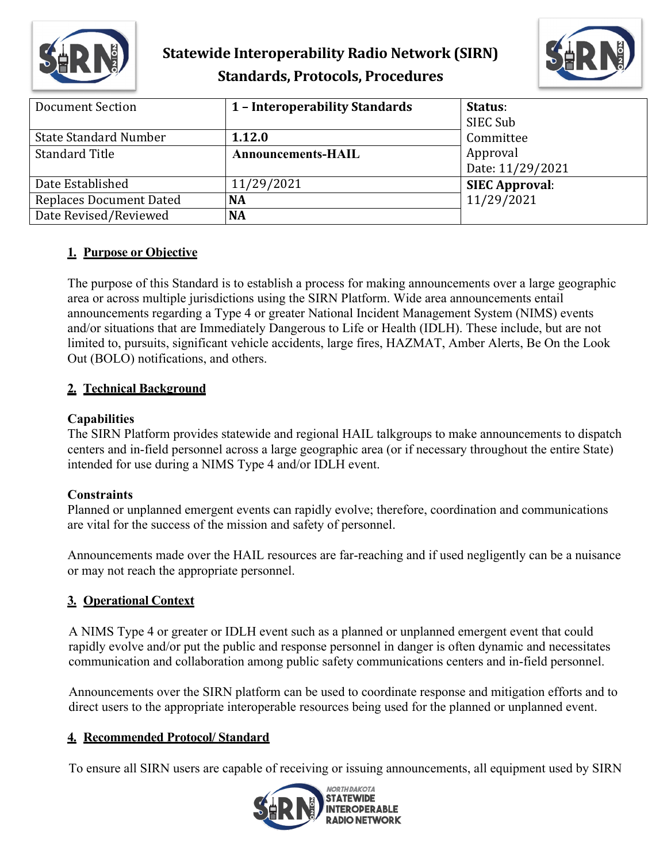

### **Statewide Interoperability Radio Network (SIRN) Standards, Protocols, Procedures**



| Document Section               | 1 - Interoperability Standards | Status:<br>SIEC Sub          |
|--------------------------------|--------------------------------|------------------------------|
| <b>State Standard Number</b>   | 1.12.0                         | Committee                    |
| <b>Standard Title</b>          | <b>Announcements-HAIL</b>      | Approval<br>Date: 11/29/2021 |
| Date Established               | 11/29/2021                     | <b>SIEC Approval:</b>        |
| <b>Replaces Document Dated</b> | <b>NA</b>                      | 11/29/2021                   |
| Date Revised/Reviewed          | <b>NA</b>                      |                              |

#### **1. Purpose or Objective**

The purpose of this Standard is to establish a process for making announcements over a large geographic area or across multiple jurisdictions using the SIRN Platform. Wide area announcements entail announcements regarding a Type 4 or greater National Incident Management System (NIMS) events and/or situations that are Immediately Dangerous to Life or Health (IDLH). These include, but are not limited to, pursuits, significant vehicle accidents, large fires, HAZMAT, Amber Alerts, Be On the Look Out (BOLO) notifications, and others.

#### **2. Technical Background**

#### **Capabilities**

The SIRN Platform provides statewide and regional HAIL talkgroups to make announcements to dispatch centers and in-field personnel across a large geographic area (or if necessary throughout the entire State) intended for use during a NIMS Type 4 and/or IDLH event.

#### **Constraints**

Planned or unplanned emergent events can rapidly evolve; therefore, coordination and communications are vital for the success of the mission and safety of personnel.

Announcements made over the HAIL resources are far-reaching and if used negligently can be a nuisance or may not reach the appropriate personnel.

#### **3. Operational Context**

A NIMS Type 4 or greater or IDLH event such as a planned or unplanned emergent event that could rapidly evolve and/or put the public and response personnel in danger is often dynamic and necessitates communication and collaboration among public safety communications centers and in-field personnel.

Announcements over the SIRN platform can be used to coordinate response and mitigation efforts and to direct users to the appropriate interoperable resources being used for the planned or unplanned event.

#### **4. Recommended Protocol/ Standard**

To ensure all SIRN users are capable of receiving or issuing announcements, all equipment used by SIRN

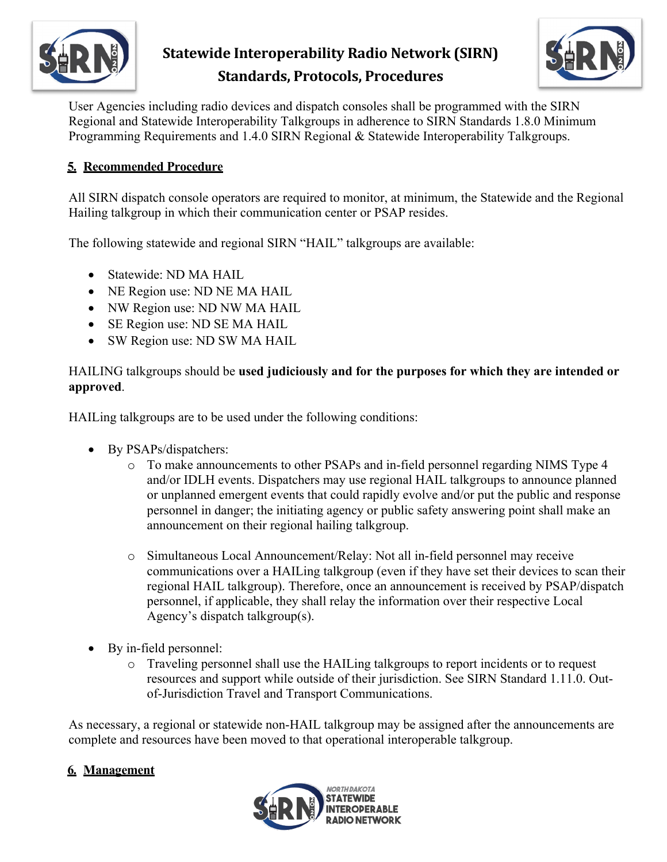

# **Statewide Interoperability Radio Network (SIRN) Standards, Protocols, Procedures**



User Agencies including radio devices and dispatch consoles shall be programmed with the SIRN Regional and Statewide Interoperability Talkgroups in adherence to SIRN Standards 1.8.0 Minimum Programming Requirements and 1.4.0 SIRN Regional & Statewide Interoperability Talkgroups.

### **5. Recommended Procedure**

All SIRN dispatch console operators are required to monitor, at minimum, the Statewide and the Regional Hailing talkgroup in which their communication center or PSAP resides.

The following statewide and regional SIRN "HAIL" talkgroups are available:

- Statewide: ND MA HAIL
- NE Region use: ND NE MA HAIL
- NW Region use: ND NW MA HAIL
- SE Region use: ND SE MA HAIL
- SW Region use: ND SW MA HAIL

HAILING talkgroups should be **used judiciously and for the purposes for which they are intended or approved**.

HAILing talkgroups are to be used under the following conditions:

- By PSAPs/dispatchers:
	- o To make announcements to other PSAPs and in-field personnel regarding NIMS Type 4 and/or IDLH events. Dispatchers may use regional HAIL talkgroups to announce planned or unplanned emergent events that could rapidly evolve and/or put the public and response personnel in danger; the initiating agency or public safety answering point shall make an announcement on their regional hailing talkgroup.
	- o Simultaneous Local Announcement/Relay: Not all in-field personnel may receive communications over a HAILing talkgroup (even if they have set their devices to scan their regional HAIL talkgroup). Therefore, once an announcement is received by PSAP/dispatch personnel, if applicable, they shall relay the information over their respective Local Agency's dispatch talkgroup(s).
- By in-field personnel:
	- o Traveling personnel shall use the HAILing talkgroups to report incidents or to request resources and support while outside of their jurisdiction. See SIRN Standard 1.11.0. Outof-Jurisdiction Travel and Transport Communications.

As necessary, a regional or statewide non-HAIL talkgroup may be assigned after the announcements are complete and resources have been moved to that operational interoperable talkgroup.

#### **6. Management**